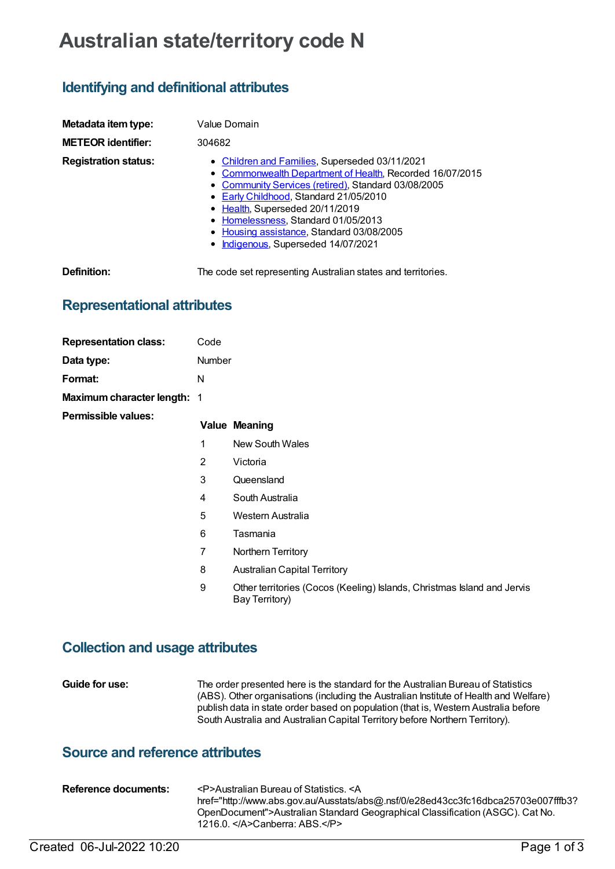# **Australian state/territory code N**

## **Identifying and definitional attributes**

| Metadata item type:         | Value Domain                                                                                                                                                                                                                                                                                                                                                              |
|-----------------------------|---------------------------------------------------------------------------------------------------------------------------------------------------------------------------------------------------------------------------------------------------------------------------------------------------------------------------------------------------------------------------|
| <b>METEOR identifier:</b>   | 304682                                                                                                                                                                                                                                                                                                                                                                    |
| <b>Registration status:</b> | • Children and Families, Superseded 03/11/2021<br>• Commonwealth Department of Health, Recorded 16/07/2015<br>• Community Services (retired), Standard 03/08/2005<br>• Early Childhood, Standard 21/05/2010<br>• Health, Superseded 20/11/2019<br>• Homelessness, Standard 01/05/2013<br>• Housing assistance, Standard 03/08/2005<br>• Indigenous, Superseded 14/07/2021 |

**Definition:** The code set representing Australian states and territories.

## **Representational attributes**

| <b>Representation class:</b> | Code                     |                                                      |
|------------------------------|--------------------------|------------------------------------------------------|
| Data type:                   | <b>Number</b>            |                                                      |
| Format:                      | N                        |                                                      |
| Maximum character length:    | $\overline{\phantom{1}}$ |                                                      |
| Permissible values:          |                          | <b>Value Meaning</b>                                 |
|                              | 1                        | New South Wales                                      |
|                              | 2                        | Victoria                                             |
|                              | 3                        | Queensland                                           |
|                              | 4                        | South Australia                                      |
|                              | 5                        | Western Australia                                    |
|                              | 6                        | Tasmania                                             |
|                              | 7                        | Northern Territory                                   |
|                              | 8                        | <b>Australian Capital Territory</b>                  |
|                              | 9                        | Other territories (Cocos (Keeling)<br>Bay Territory) |

#### **Collection and usage attributes**

**Guide for use:** The order presented here is the standard for the Australian Bureau of Statistics (ABS). Other organisations (including the Australian Institute of Health and Welfare) publish data in state order based on population (that is, Western Australia before South Australia and Australian Capital Territory before Northern Territory).

## **Source and reference attributes**

| Reference documents: | <p>Australian Bureau of Statistics. <a< th=""></a<></p>                           |
|----------------------|-----------------------------------------------------------------------------------|
|                      | href="http://www.abs.gov.au/Ausstats/abs@.nsf/0/e28ed43cc3fc16dbca25703e007fffb3? |
|                      | OpenDocument">Australian Standard Geographical Classification (ASGC). Cat No.     |
|                      | 1216.0. $\triangleleft$ A>Canberra: ABS. $\triangleleft$ /P>                      |
|                      |                                                                                   |

Islands, Christmas Island and Jervis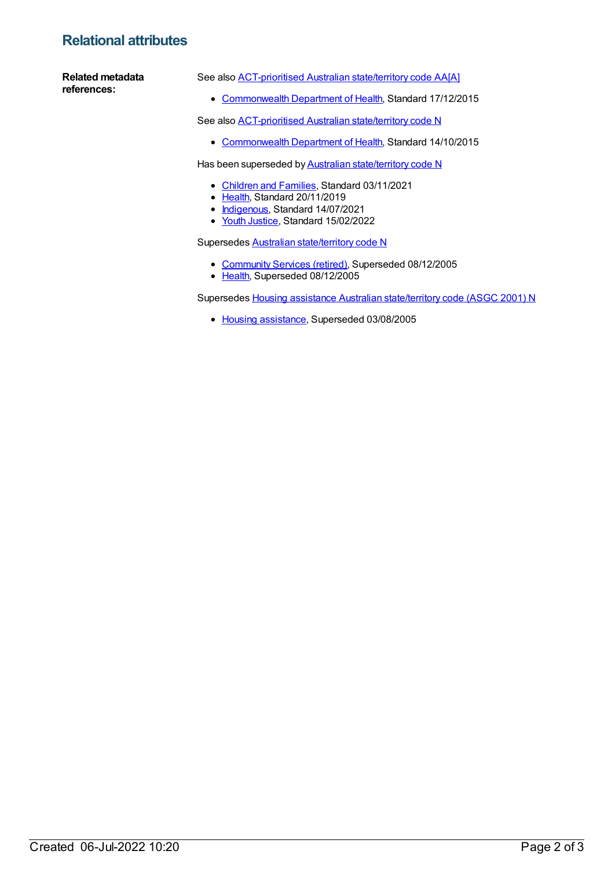## **Relational attributes**

#### **Related metadata references:**

See also [ACT-prioritised](https://meteor.aihw.gov.au/content/616563) Australian state/territory code AA[A]

[Commonwealth](https://meteor.aihw.gov.au/RegistrationAuthority/10) Department of Health, Standard 17/12/2015

See also [ACT-prioritised](https://meteor.aihw.gov.au/content/601033) Australian state/territory code N

• [Commonwealth](https://meteor.aihw.gov.au/RegistrationAuthority/10) Department of Health, Standard 14/10/2015

Has been superseded by **Australian [state/territory](https://meteor.aihw.gov.au/content/718228) code N** 

- [Children](https://meteor.aihw.gov.au/RegistrationAuthority/17) and Families, Standard 03/11/2021
- Elealth, Standard 20/11/2019
- [Indigenous](https://meteor.aihw.gov.au/RegistrationAuthority/6), Standard 14/07/2021
- Youth [Justice](https://meteor.aihw.gov.au/RegistrationAuthority/4), Standard 15/02/2022

Supersedes Australian [state/territory](https://meteor.aihw.gov.au/content/270941) code N

- [Community](https://meteor.aihw.gov.au/RegistrationAuthority/1) Services (retired), Superseded 08/12/2005
- [Health](https://meteor.aihw.gov.au/RegistrationAuthority/12), Superseded 08/12/2005

Supersedes Housing assistance Australian [state/territory](https://meteor.aihw.gov.au/content/270573) code (ASGC 2001) N

• Housing [assistance](https://meteor.aihw.gov.au/RegistrationAuthority/11), Superseded 03/08/2005